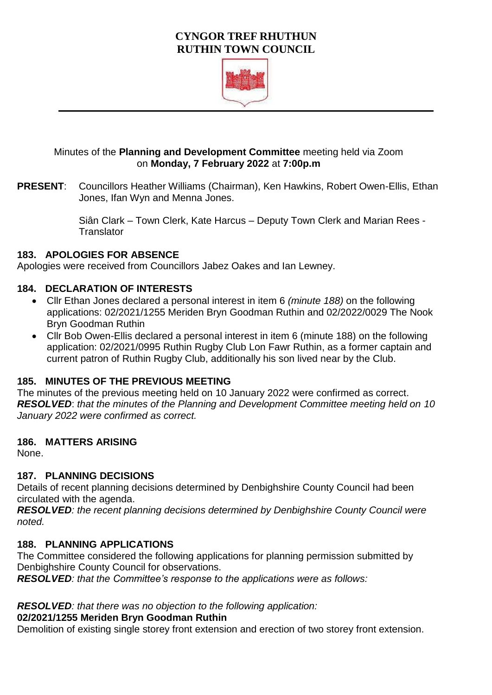# **CYNGOR TREF RHUTHUN RUTHIN TOWN COUNCIL**



## Minutes of the **Planning and Development Committee** meeting held via Zoom on **Monday, 7 February 2022** at **7:00p.m**

**PRESENT**: Councillors Heather Williams (Chairman), Ken Hawkins, Robert Owen-Ellis, Ethan Jones, Ifan Wyn and Menna Jones.

> Siân Clark – Town Clerk, Kate Harcus – Deputy Town Clerk and Marian Rees - **Translator**

### **183. APOLOGIES FOR ABSENCE**

Apologies were received from Councillors Jabez Oakes and Ian Lewney.

## **184. DECLARATION OF INTERESTS**

- Cllr Ethan Jones declared a personal interest in item 6 *(minute 188)* on the following applications: 02/2021/1255 Meriden Bryn Goodman Ruthin and 02/2022/0029 The Nook Bryn Goodman Ruthin
- Cllr Bob Owen-Ellis declared a personal interest in item 6 (minute 188) on the following application: 02/2021/0995 Ruthin Rugby Club Lon Fawr Ruthin, as a former captain and current patron of Ruthin Rugby Club, additionally his son lived near by the Club.

### **185. MINUTES OF THE PREVIOUS MEETING**

The minutes of the previous meeting held on 10 January 2022 were confirmed as correct. *RESOLVED*: *that the minutes of the Planning and Development Committee meeting held on 10 January 2022 were confirmed as correct.* 

### **186. MATTERS ARISING**

None.

### **187. PLANNING DECISIONS**

Details of recent planning decisions determined by Denbighshire County Council had been circulated with the agenda.

*RESOLVED: the recent planning decisions determined by Denbighshire County Council were noted.* 

### **188. PLANNING APPLICATIONS**

The Committee considered the following applications for planning permission submitted by Denbighshire County Council for observations.

*RESOLVED: that the Committee's response to the applications were as follows:* 

### *RESOLVED: that there was no objection to the following application:*

### **02/2021/1255 Meriden Bryn Goodman Ruthin**

Demolition of existing single storey front extension and erection of two storey front extension.